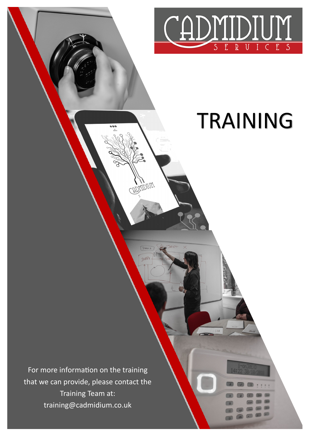

## TRAINING

For more information on the training that we can provide, please contact the Training Team at: training@cadmidium.co.uk

**ADMIDIUM**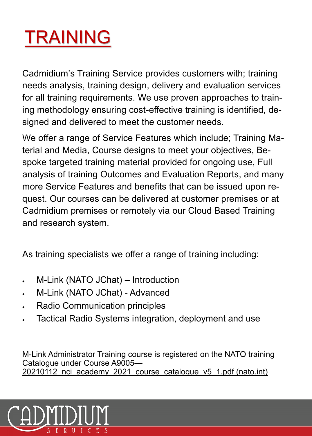## TRAINING

Cadmidium's Training Service provides customers with; training needs analysis, training design, delivery and evaluation services for all training requirements. We use proven approaches to training methodology ensuring cost-effective training is identified, designed and delivered to meet the customer needs.

We offer a range of Service Features which include; Training Material and Media, Course designs to meet your objectives, Bespoke targeted training material provided for ongoing use, Full analysis of training Outcomes and Evaluation Reports, and many more Service Features and benefits that can be issued upon request. Our courses can be delivered at customer premises or at Cadmidium premises or remotely via our Cloud Based Training and research system.

As training specialists we offer a range of training including:

- M-Link (NATO JChat) Introduction
- M-Link (NATO JChat) Advanced
- Radio Communication principles
- Tactical Radio Systems integration, deployment and use

M-Link Administrator Training course is registered on the NATO training Catalogue under Course A9005— 20210112 nci academy 2021 course catalogue v5 1.pdf (nato.int)